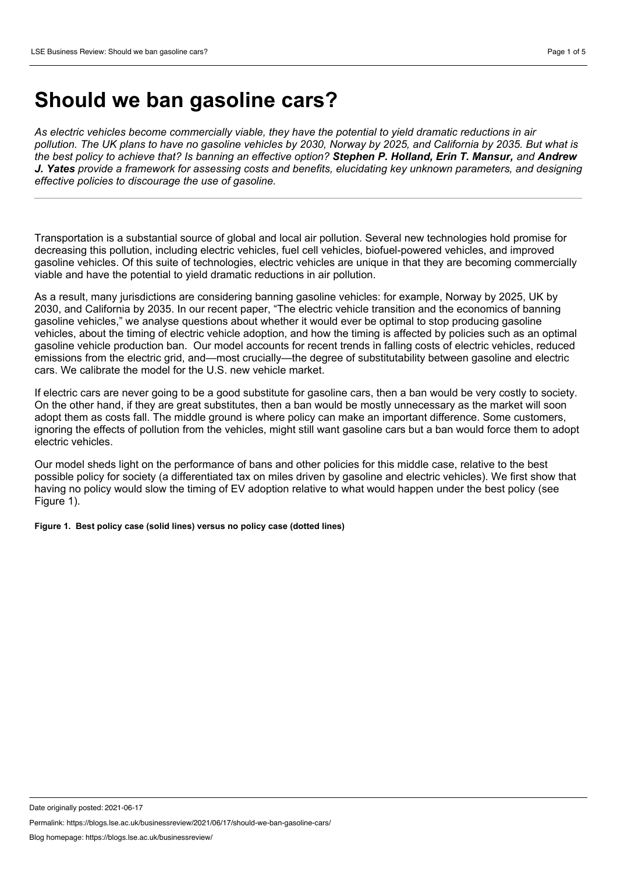## **Should we ban gasoline cars?**

*As electric vehicles become commercially viable, they have the potential to yield dramatic reductions in air* pollution. The UK plans to have no gasoline vehicles by 2030. Norway by 2025, and California by 2035. But what is the best policy to achieve that? Is banning an effective option? Stephen P. Holland. Erin T. Mansur, and Andrew *J. Yates provide a framework for assessing costs and benefits, elucidating key unknown parameters, and designing effective policies to discourage the use of gasoline.*

Transportation is a substantial source of global and local air pollution. Several new technologies hold promise for decreasing this pollution, including electric vehicles, fuel cell vehicles, biofuel-powered vehicles, and improved gasoline vehicles. Of this suite of technologies, electric vehicles are unique in that they are becoming commercially viable and have the potential to yield dramatic reductions in air pollution.

As a result, many jurisdictions are considering banning gasoline vehicles: for example, Norway by 2025, UK by 2030, and California by 2035. In our recent paper, "The electric vehicle transition and the economics of banning gasoline vehicles," we analyse questions about whether it would ever be optimal to stop producing gasoline vehicles, about the timing of electric vehicle adoption, and how the timing is affected by policies such as an optimal gasoline vehicle production ban. Our model accounts for recent trends in falling costs of electric vehicles, reduced emissions from the electric grid, and—most crucially—the degree of substitutability between gasoline and electric cars. We calibrate the model for the U.S. new vehicle market.

If electric cars are never going to be a good substitute for gasoline cars, then a ban would be very costly to society. On the other hand, if they are great substitutes, then a ban would be mostly unnecessary as the market will soon adopt them as costs fall. The middle ground is where policy can make an important difference. Some customers, ignoring the effects of pollution from the vehicles, might still want gasoline cars but a ban would force them to adopt electric vehicles.

Our model sheds light on the performance of bans and other policies for this middle case, relative to the best possible policy for society (a differentiated tax on miles driven by gasoline and electric vehicles). We first show that having no policy would slow the timing of EV adoption relative to what would happen under the best policy (see Figure 1).

**Figure 1. Best policy case (solid lines) versus no policy case (dotted lines)**

Date originally posted: 2021-06-17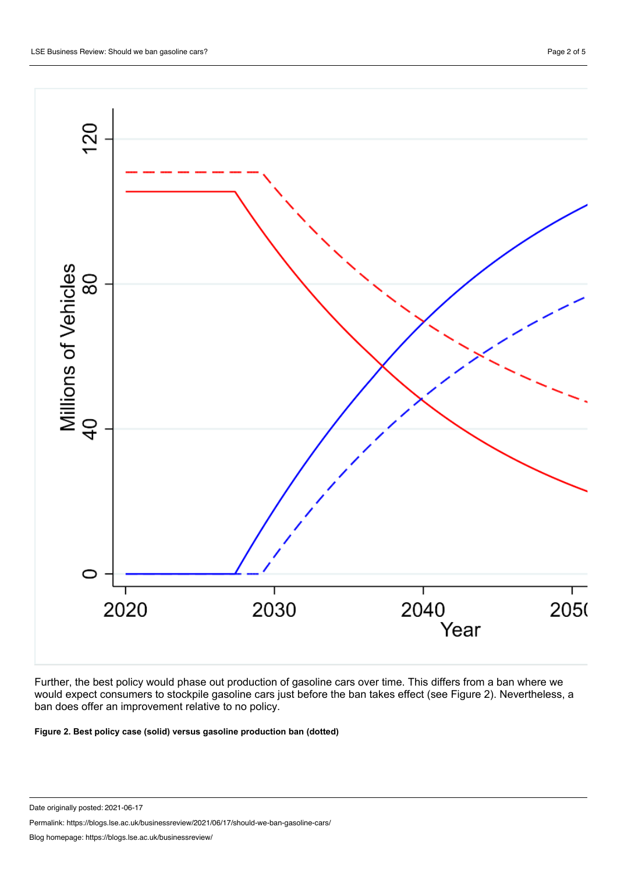

Further, the best policy would phase out production of gasoline cars over time. This differs from a ban where we would expect consumers to stockpile gasoline cars just before the ban takes effect (see Figure 2). Nevertheless, a ban does offer an improvement relative to no policy.

**Figure 2. Best policy case (solid) versus gasoline production ban (dotted)**

Date originally posted: 2021-06-17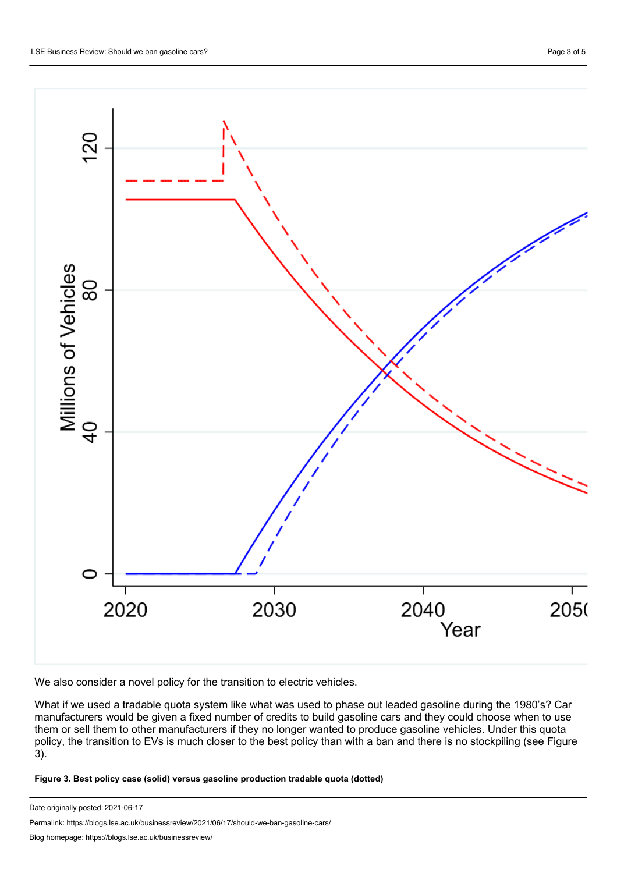

We also consider a novel policy for the transition to electric vehicles.

What if we used a tradable quota system like what was used to phase out leaded gasoline during the 1980's? Car manufacturers would be given a fixed number of credits to build gasoline cars and they could choose when to use them or sell them to other manufacturers if they no longer wanted to produce gasoline vehicles. Under this quota policy, the transition to EVs is much closer to the best policy than with a ban and there is no stockpiling (see Figure 3).

**Figure 3. Best policy case (solid) versus gasoline production tradable quota (dotted)**

Date originally posted: 2021-06-17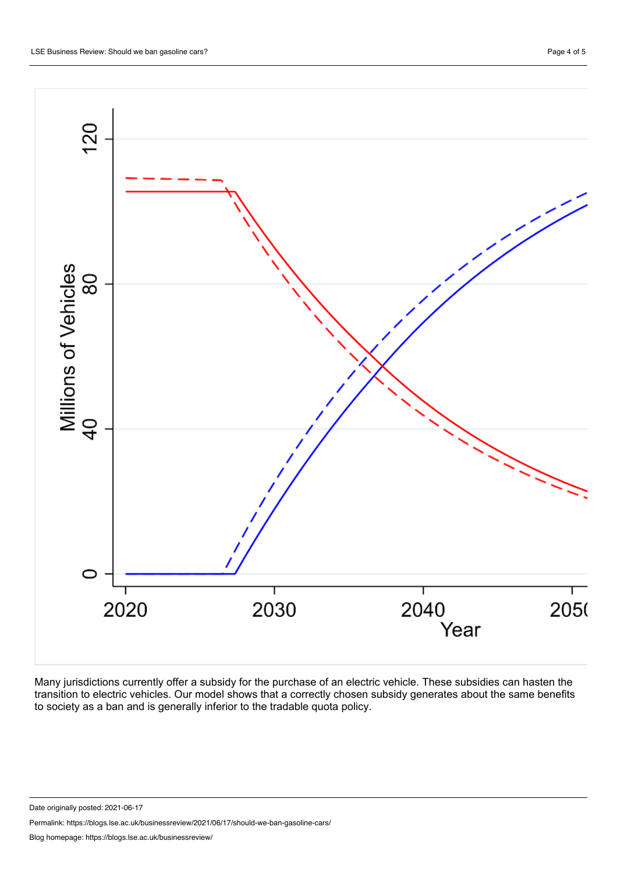

Many jurisdictions currently offer a subsidy for the purchase of an electric vehicle. These subsidies can hasten the transition to electric vehicles. Our model shows that a correctly chosen subsidy generates about the same benefits to society as a ban and is generally inferior to the tradable quota policy.

Date originally posted: 2021-06-17